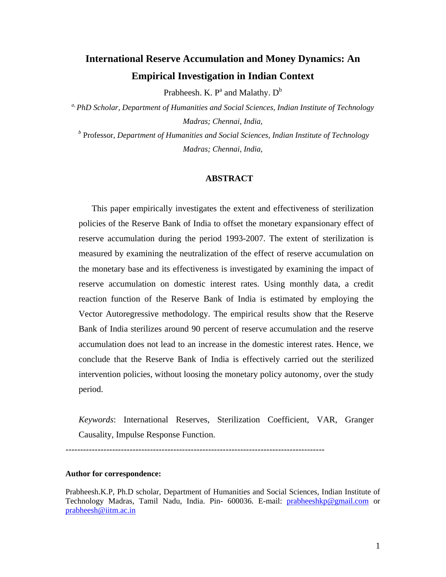# **International Reserve Accumulation and Money Dynamics: An Empirical Investigation in Indian Context**

Prabheesh. K.  $P^a$  and Malathy.  $D^b$ 

*a, PhD Scholar, Department of Humanities and Social Sciences, Indian Institute of Technology Madras; Chennai, India,* 

*b* Professor, *Department of Humanities and Social Sciences, Indian Institute of Technology Madras; Chennai, India,* 

## **ABSTRACT**

This paper empirically investigates the extent and effectiveness of sterilization policies of the Reserve Bank of India to offset the monetary expansionary effect of reserve accumulation during the period 1993-2007. The extent of sterilization is measured by examining the neutralization of the effect of reserve accumulation on the monetary base and its effectiveness is investigated by examining the impact of reserve accumulation on domestic interest rates. Using monthly data, a credit reaction function of the Reserve Bank of India is estimated by employing the Vector Autoregressive methodology. The empirical results show that the Reserve Bank of India sterilizes around 90 percent of reserve accumulation and the reserve accumulation does not lead to an increase in the domestic interest rates. Hence, we conclude that the Reserve Bank of India is effectively carried out the sterilized intervention policies, without loosing the monetary policy autonomy, over the study period.

*Keywords*: International Reserves, Sterilization Coefficient, VAR, Granger Causality, Impulse Response Function.

*-----------------------------------------------------------------------------------------* 

## **Author for correspondence:**

Prabheesh.K.P, Ph.D scholar, Department of Humanities and Social Sciences, Indian Institute of Technology Madras, Tamil Nadu, India. Pin- 600036. E-mail: prabheeshkp@gmail.com or prabheesh@iitm.ac.in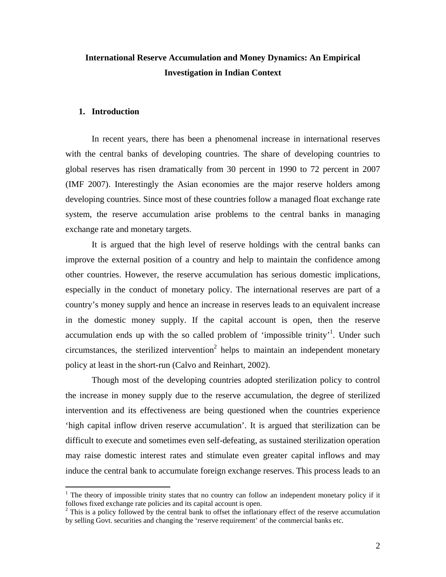## **International Reserve Accumulation and Money Dynamics: An Empirical Investigation in Indian Context**

## **1. Introduction**

 $\overline{a}$ 

In recent years, there has been a phenomenal increase in international reserves with the central banks of developing countries. The share of developing countries to global reserves has risen dramatically from 30 percent in 1990 to 72 percent in 2007 (IMF 2007). Interestingly the Asian economies are the major reserve holders among developing countries. Since most of these countries follow a managed float exchange rate system, the reserve accumulation arise problems to the central banks in managing exchange rate and monetary targets.

It is argued that the high level of reserve holdings with the central banks can improve the external position of a country and help to maintain the confidence among other countries. However, the reserve accumulation has serious domestic implications, especially in the conduct of monetary policy. The international reserves are part of a country's money supply and hence an increase in reserves leads to an equivalent increase in the domestic money supply. If the capital account is open, then the reserve accumulation ends up with the so called problem of 'impossible trinity'<sup>1</sup>. Under such circumstances, the sterilized intervention<sup>2</sup> helps to maintain an independent monetary policy at least in the short-run (Calvo and Reinhart, 2002).

Though most of the developing countries adopted sterilization policy to control the increase in money supply due to the reserve accumulation, the degree of sterilized intervention and its effectiveness are being questioned when the countries experience 'high capital inflow driven reserve accumulation'. It is argued that sterilization can be difficult to execute and sometimes even self-defeating, as sustained sterilization operation may raise domestic interest rates and stimulate even greater capital inflows and may induce the central bank to accumulate foreign exchange reserves. This process leads to an

<sup>&</sup>lt;sup>1</sup> The theory of impossible trinity states that no country can follow an independent monetary policy if it follows fixed exchange rate policies and its capital account is open.

 $2$ <sup>2</sup> This is a policy followed by the central bank to offset the inflationary effect of the reserve accumulation by selling Govt. securities and changing the 'reserve requirement' of the commercial banks etc.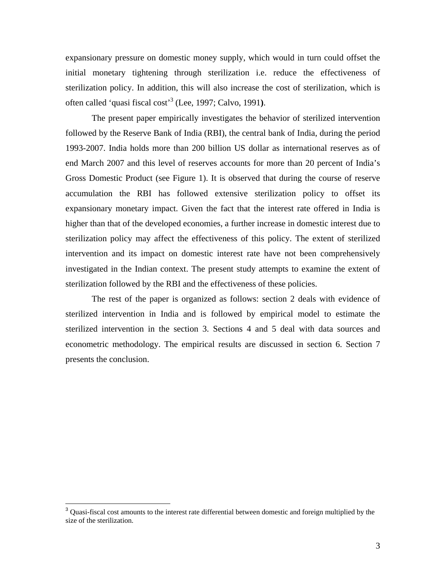expansionary pressure on domestic money supply, which would in turn could offset the initial monetary tightening through sterilization i.e. reduce the effectiveness of sterilization policy. In addition, this will also increase the cost of sterilization, which is often called 'quasi fiscal cost'3 (Lee, 1997; Calvo, 1991**)**.

The present paper empirically investigates the behavior of sterilized intervention followed by the Reserve Bank of India (RBI), the central bank of India, during the period 1993-2007. India holds more than 200 billion US dollar as international reserves as of end March 2007 and this level of reserves accounts for more than 20 percent of India's Gross Domestic Product (see Figure 1). It is observed that during the course of reserve accumulation the RBI has followed extensive sterilization policy to offset its expansionary monetary impact. Given the fact that the interest rate offered in India is higher than that of the developed economies, a further increase in domestic interest due to sterilization policy may affect the effectiveness of this policy. The extent of sterilized intervention and its impact on domestic interest rate have not been comprehensively investigated in the Indian context. The present study attempts to examine the extent of sterilization followed by the RBI and the effectiveness of these policies.

The rest of the paper is organized as follows: section 2 deals with evidence of sterilized intervention in India and is followed by empirical model to estimate the sterilized intervention in the section 3. Sections 4 and 5 deal with data sources and econometric methodology. The empirical results are discussed in section 6. Section 7 presents the conclusion.

 $\overline{a}$ 

<sup>&</sup>lt;sup>3</sup> Quasi-fiscal cost amounts to the interest rate differential between domestic and foreign multiplied by the size of the sterilization.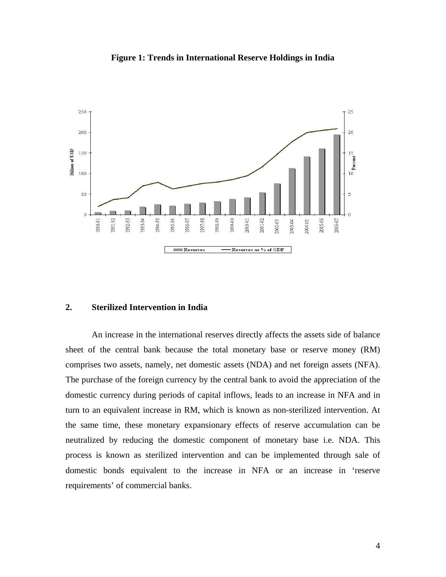

**Figure 1: Trends in International Reserve Holdings in India** 

## **2. Sterilized Intervention in India**

An increase in the international reserves directly affects the assets side of balance sheet of the central bank because the total monetary base or reserve money (RM) comprises two assets, namely, net domestic assets (NDA) and net foreign assets (NFA). The purchase of the foreign currency by the central bank to avoid the appreciation of the domestic currency during periods of capital inflows, leads to an increase in NFA and in turn to an equivalent increase in RM, which is known as non-sterilized intervention. At the same time, these monetary expansionary effects of reserve accumulation can be neutralized by reducing the domestic component of monetary base i.e. NDA. This process is known as sterilized intervention and can be implemented through sale of domestic bonds equivalent to the increase in NFA or an increase in 'reserve requirements' of commercial banks.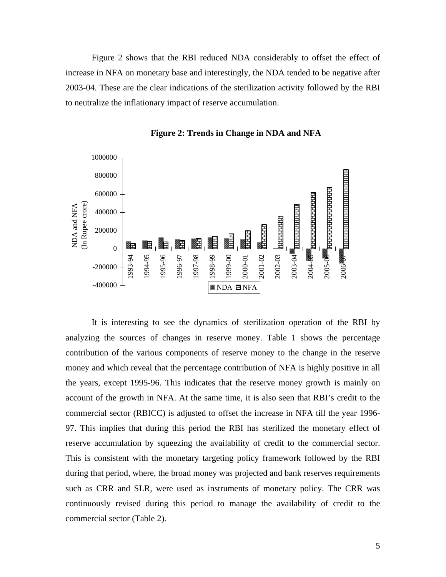Figure 2 shows that the RBI reduced NDA considerably to offset the effect of increase in NFA on monetary base and interestingly, the NDA tended to be negative after 2003-04. These are the clear indications of the sterilization activity followed by the RBI to neutralize the inflationary impact of reserve accumulation.



**Figure 2: Trends in Change in NDA and NFA** 

It is interesting to see the dynamics of sterilization operation of the RBI by analyzing the sources of changes in reserve money. Table 1 shows the percentage contribution of the various components of reserve money to the change in the reserve money and which reveal that the percentage contribution of NFA is highly positive in all the years, except 1995-96. This indicates that the reserve money growth is mainly on account of the growth in NFA. At the same time, it is also seen that RBI's credit to the commercial sector (RBICC) is adjusted to offset the increase in NFA till the year 1996- 97. This implies that during this period the RBI has sterilized the monetary effect of reserve accumulation by squeezing the availability of credit to the commercial sector. This is consistent with the monetary targeting policy framework followed by the RBI during that period, where, the broad money was projected and bank reserves requirements such as CRR and SLR, were used as instruments of monetary policy. The CRR was continuously revised during this period to manage the availability of credit to the commercial sector (Table 2).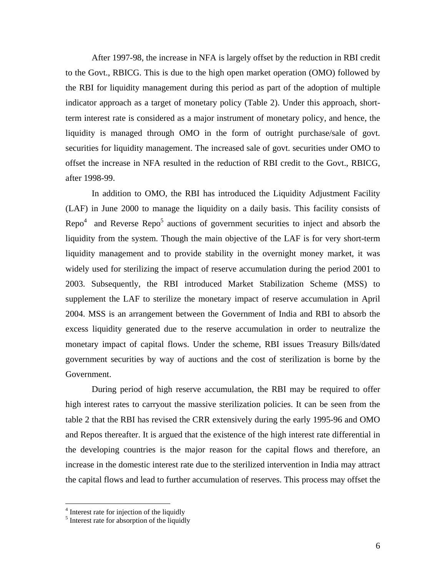After 1997-98, the increase in NFA is largely offset by the reduction in RBI credit to the Govt., RBICG. This is due to the high open market operation (OMO) followed by the RBI for liquidity management during this period as part of the adoption of multiple indicator approach as a target of monetary policy (Table 2). Under this approach, shortterm interest rate is considered as a major instrument of monetary policy, and hence, the liquidity is managed through OMO in the form of outright purchase/sale of govt. securities for liquidity management. The increased sale of govt. securities under OMO to offset the increase in NFA resulted in the reduction of RBI credit to the Govt., RBICG, after 1998-99.

In addition to OMO, the RBI has introduced the Liquidity Adjustment Facility (LAF) in June 2000 to manage the liquidity on a daily basis. This facility consists of Repo<sup>4</sup> and Reverse Repo<sup>5</sup> auctions of government securities to inject and absorb the liquidity from the system. Though the main objective of the LAF is for very short-term liquidity management and to provide stability in the overnight money market, it was widely used for sterilizing the impact of reserve accumulation during the period 2001 to 2003. Subsequently, the RBI introduced Market Stabilization Scheme (MSS) to supplement the LAF to sterilize the monetary impact of reserve accumulation in April 2004. MSS is an arrangement between the Government of India and RBI to absorb the excess liquidity generated due to the reserve accumulation in order to neutralize the monetary impact of capital flows. Under the scheme, RBI issues Treasury Bills/dated government securities by way of auctions and the cost of sterilization is borne by the Government.

During period of high reserve accumulation, the RBI may be required to offer high interest rates to carryout the massive sterilization policies. It can be seen from the table 2 that the RBI has revised the CRR extensively during the early 1995-96 and OMO and Repos thereafter. It is argued that the existence of the high interest rate differential in the developing countries is the major reason for the capital flows and therefore, an increase in the domestic interest rate due to the sterilized intervention in India may attract the capital flows and lead to further accumulation of reserves. This process may offset the

 $\overline{a}$ 

<sup>&</sup>lt;sup>4</sup> Interest rate for injection of the liquidly

<sup>&</sup>lt;sup>5</sup> Interest rate for absorption of the liquidly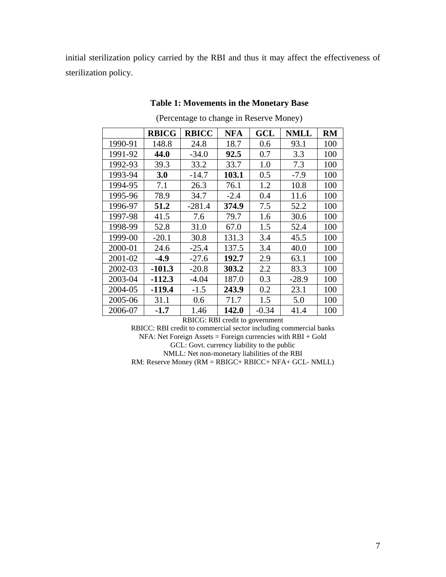initial sterilization policy carried by the RBI and thus it may affect the effectiveness of sterilization policy.

|         | <b>RBICG</b> | <b>RBICC</b> | NFA    | GCL   | <b>NMLL</b> | <b>RM</b> |
|---------|--------------|--------------|--------|-------|-------------|-----------|
| 1990-91 | 148.8        | 24.8         | 18.7   | 0.6   | 93.1        | 100       |
| 1991-92 | 44.0         | $-34.0$      | 92.5   | 0.7   | 3.3         | 100       |
| 1992-93 | 39.3         | 33.2         | 33.7   | 1.0   | 7.3         | 100       |
| 1993-94 | 3.0          | $-14.7$      | 103.1  | 0.5   | $-7.9$      | 100       |
| 1994-95 | 7.1          | 26.3         | 76.1   | 1.2   | 10.8        | 100       |
| 1995-96 | 78.9         | 34.7         | $-2.4$ | 0.4   | 11.6        | 100       |
| 1996-97 | 51.2         | $-281.4$     | 374.9  | 7.5   | 52.2        | 100       |
| 1997-98 | 41.5         | 7.6          | 79.7   | 1.6   | 30.6        | 100       |
| 1998-99 | 52.8         | 31.0         | 67.0   | 1.5   | 52.4        | 100       |
| 1999-00 | $-20.1$      | 30.8         | 131.3  | 3.4   | 45.5        | 100       |
| 2000-01 | 24.6         | $-25.4$      | 137.5  | 3.4   | 40.0        | 100       |
| 2001-02 | $-4.9$       | $-27.6$      | 192.7  | 2.9   | 63.1        | 100       |
| 2002-03 | $-101.3$     | $-20.8$      | 303.2  | 2.2   | 83.3        | 100       |
| 2003-04 | $-112.3$     | $-4.04$      | 187.0  | 0.3   | $-28.9$     | 100       |
| 2004-05 | -119.4       | $-1.5$       | 243.9  | 0.2   | 23.1        | 100       |
| 2005-06 | 31.1         | 0.6          | 71.7   | 1.5   | 5.0         | 100       |
| 2006-07 | -1.7         | 1.46         | 142.0  | -0.34 | 41.4        | 100       |

## **Table 1: Movements in the Monetary Base**

(Percentage to change in Reserve Money)

RBICG: RBI credit to government

RBICC: RBI credit to commercial sector including commercial banks NFA: Net Foreign Assets = Foreign currencies with RBI + Gold GCL: Govt. currency liability to the public NMLL: Net non-monetary liabilities of the RBI RM: Reserve Money (RM = RBIGC+ RBICC+ NFA+ GCL- NMLL)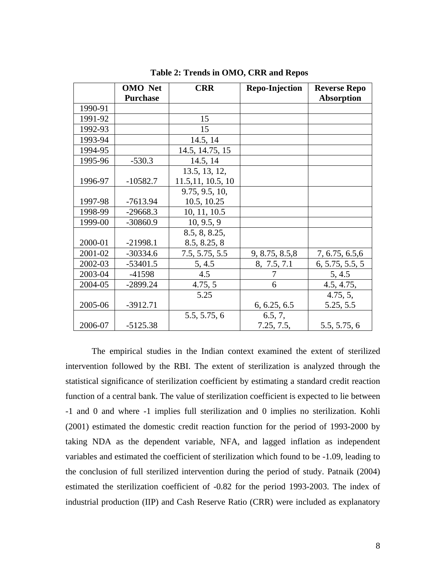|         | <b>OMO</b> Net  | <b>CRR</b>         | <b>Repo-Injection</b> | <b>Reverse Repo</b> |
|---------|-----------------|--------------------|-----------------------|---------------------|
|         | <b>Purchase</b> |                    |                       | <b>Absorption</b>   |
| 1990-91 |                 |                    |                       |                     |
| 1991-92 |                 | 15                 |                       |                     |
| 1992-93 |                 | 15                 |                       |                     |
| 1993-94 |                 | 14.5, 14           |                       |                     |
| 1994-95 |                 | 14.5, 14.75, 15    |                       |                     |
| 1995-96 | $-530.3$        | 14.5, 14           |                       |                     |
|         |                 | 13.5, 13, 12,      |                       |                     |
| 1996-97 | $-10582.7$      | 11.5, 11, 10.5, 10 |                       |                     |
|         |                 | 9.75, 9.5, 10,     |                       |                     |
| 1997-98 | $-7613.94$      | 10.5, 10.25        |                       |                     |
| 1998-99 | $-29668.3$      | 10, 11, 10.5       |                       |                     |
| 1999-00 | $-30860.9$      | 10, 9.5, 9         |                       |                     |
|         |                 | 8.5, 8, 8.25,      |                       |                     |
| 2000-01 | $-21998.1$      | 8.5, 8.25, 8       |                       |                     |
| 2001-02 | $-30334.6$      | 7.5, 5.75, 5.5     | 9, 8.75, 8.5, 8       | 7, 6.75, 6.5, 6     |
| 2002-03 | $-53401.5$      | 5, 4.5             | 8, 7.5, 7.1           | 6, 5.75, 5.5, 5     |
| 2003-04 | $-41598$        | 4.5                | 7                     | 5, 4.5              |
| 2004-05 | $-2899.24$      | 4.75, 5            | 6                     | 4.5, 4.75,          |
|         |                 | 5.25               |                       | 4.75, 5,            |
| 2005-06 | $-3912.71$      |                    | 6, 6.25, 6.5          | 5.25, 5.5           |
|         |                 | 5.5, 5.75, 6       | 6.5, 7,               |                     |
| 2006-07 | $-5125.38$      |                    | 7.25, 7.5,            | 5.5, 5.75, 6        |

**Table 2: Trends in OMO, CRR and Repos** 

The empirical studies in the Indian context examined the extent of sterilized intervention followed by the RBI. The extent of sterilization is analyzed through the statistical significance of sterilization coefficient by estimating a standard credit reaction function of a central bank. The value of sterilization coefficient is expected to lie between -1 and 0 and where -1 implies full sterilization and 0 implies no sterilization. Kohli (2001) estimated the domestic credit reaction function for the period of 1993-2000 by taking NDA as the dependent variable, NFA, and lagged inflation as independent variables and estimated the coefficient of sterilization which found to be -1.09, leading to the conclusion of full sterilized intervention during the period of study. Patnaik (2004) estimated the sterilization coefficient of -0.82 for the period 1993-2003. The index of industrial production (IIP) and Cash Reserve Ratio (CRR) were included as explanatory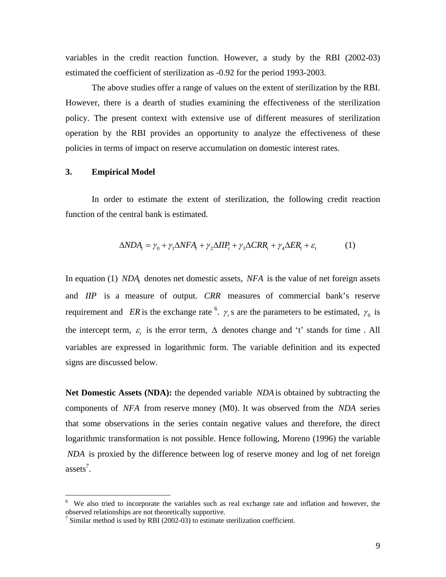variables in the credit reaction function. However, a study by the RBI (2002-03) estimated the coefficient of sterilization as -0.92 for the period 1993-2003.

 The above studies offer a range of values on the extent of sterilization by the RBI. However, there is a dearth of studies examining the effectiveness of the sterilization policy. The present context with extensive use of different measures of sterilization operation by the RBI provides an opportunity to analyze the effectiveness of these policies in terms of impact on reserve accumulation on domestic interest rates.

## **3. Empirical Model**

 $\overline{a}$ 

In order to estimate the extent of sterilization, the following credit reaction function of the central bank is estimated.

$$
\Delta NDA_t = \gamma_0 + \gamma_1 \Delta NFA_t + \gamma_2 \Delta IIP_t + \gamma_3 \Delta CRR_t + \gamma_4 \Delta ER_t + \varepsilon_t \tag{1}
$$

In equation (1) *NDA*, denotes net domestic assets, *NFA* is the value of net foreign assets and *IIP* is a measure of output. *CRR* measures of commercial bank's reserve requirement and *ER* is the exchange rate <sup>6</sup>.  $\gamma_i$  s are the parameters to be estimated,  $\gamma_0$  is the intercept term,  $\varepsilon$ , is the error term,  $\Delta$  denotes change and 't' stands for time. All variables are expressed in logarithmic form. The variable definition and its expected signs are discussed below.

**Net Domestic Assets (NDA):** the depended variable *NDA*is obtained by subtracting the components of *NFA* from reserve money (M0). It was observed from the *NDA* series that some observations in the series contain negative values and therefore, the direct logarithmic transformation is not possible. Hence following, Moreno (1996) the variable *NDA* is proxied by the difference between log of reserve money and log of net foreign assets<sup>7</sup>.

<sup>&</sup>lt;sup>6</sup> We also tried to incorporate the variables such as real exchange rate and inflation and however, the observed relationships are not theoretically supportive.

<sup>&</sup>lt;sup>7</sup> Similar method is used by RBI (2002-03) to estimate sterilization coefficient.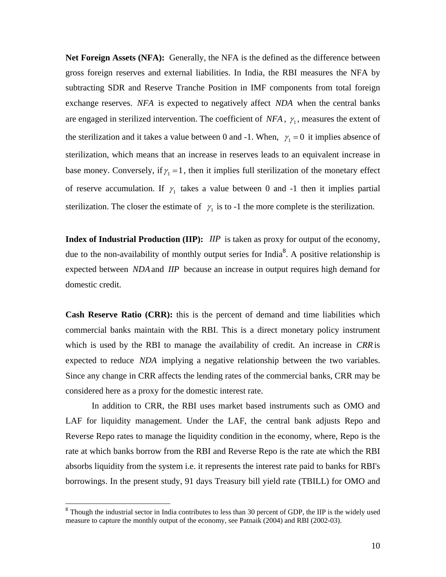**Net Foreign Assets (NFA):** Generally, the NFA is the defined as the difference between gross foreign reserves and external liabilities. In India, the RBI measures the NFA by subtracting SDR and Reserve Tranche Position in IMF components from total foreign exchange reserves. *NFA* is expected to negatively affect *NDA* when the central banks are engaged in sterilized intervention. The coefficient of  $NFA$ ,  $\gamma_1$ , measures the extent of the sterilization and it takes a value between 0 and -1. When,  $\gamma_1 = 0$  it implies absence of sterilization, which means that an increase in reserves leads to an equivalent increase in base money. Conversely, if  $\gamma_1 = 1$ , then it implies full sterilization of the monetary effect of reserve accumulation. If  $\gamma_1$  takes a value between 0 and -1 then it implies partial sterilization. The closer the estimate of  $\gamma_1$  is to -1 the more complete is the sterilization.

**Index of Industrial Production (IIP):** *IIP* is taken as proxy for output of the economy, due to the non-availability of monthly output series for India<sup>8</sup>. A positive relationship is expected between *NDA*and *IIP* because an increase in output requires high demand for domestic credit.

**Cash Reserve Ratio (CRR):** this is the percent of demand and time liabilities which commercial banks maintain with the RBI. This is a direct monetary policy instrument which is used by the RBI to manage the availability of credit. An increase in *CRR* is expected to reduce *NDA* implying a negative relationship between the two variables. Since any change in CRR affects the lending rates of the commercial banks, CRR may be considered here as a proxy for the domestic interest rate.

In addition to CRR, the RBI uses market based instruments such as OMO and LAF for liquidity management. Under the LAF, the central bank adjusts Repo and Reverse Repo rates to manage the liquidity condition in the economy, where, Repo is the rate at which banks borrow from the RBI and Reverse Repo is the rate ate which the RBI absorbs liquidity from the system i.e. it represents the interest rate paid to banks for RBI's borrowings. In the present study, 91 days Treasury bill yield rate (TBILL) for OMO and

 $\overline{a}$ 

 $8$  Though the industrial sector in India contributes to less than 30 percent of GDP, the IIP is the widely used measure to capture the monthly output of the economy, see Patnaik (2004) and RBI (2002-03).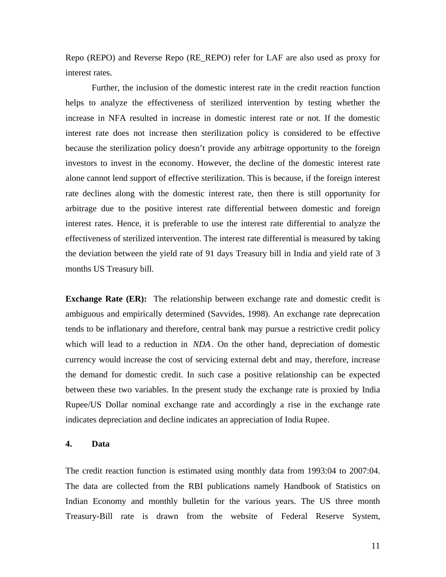Repo (REPO) and Reverse Repo (RE\_REPO) refer for LAF are also used as proxy for interest rates.

Further, the inclusion of the domestic interest rate in the credit reaction function helps to analyze the effectiveness of sterilized intervention by testing whether the increase in NFA resulted in increase in domestic interest rate or not. If the domestic interest rate does not increase then sterilization policy is considered to be effective because the sterilization policy doesn't provide any arbitrage opportunity to the foreign investors to invest in the economy. However, the decline of the domestic interest rate alone cannot lend support of effective sterilization. This is because, if the foreign interest rate declines along with the domestic interest rate, then there is still opportunity for arbitrage due to the positive interest rate differential between domestic and foreign interest rates. Hence, it is preferable to use the interest rate differential to analyze the effectiveness of sterilized intervention. The interest rate differential is measured by taking the deviation between the yield rate of 91 days Treasury bill in India and yield rate of 3 months US Treasury bill.

**Exchange Rate (ER):** The relationship between exchange rate and domestic credit is ambiguous and empirically determined (Savvides, 1998). An exchange rate deprecation tends to be inflationary and therefore, central bank may pursue a restrictive credit policy which will lead to a reduction in *NDA*. On the other hand, depreciation of domestic currency would increase the cost of servicing external debt and may, therefore, increase the demand for domestic credit. In such case a positive relationship can be expected between these two variables. In the present study the exchange rate is proxied by India Rupee/US Dollar nominal exchange rate and accordingly a rise in the exchange rate indicates depreciation and decline indicates an appreciation of India Rupee.

## **4. Data**

The credit reaction function is estimated using monthly data from 1993:04 to 2007:04. The data are collected from the RBI publications namely Handbook of Statistics on Indian Economy and monthly bulletin for the various years. The US three month Treasury-Bill rate is drawn from the website of Federal Reserve System,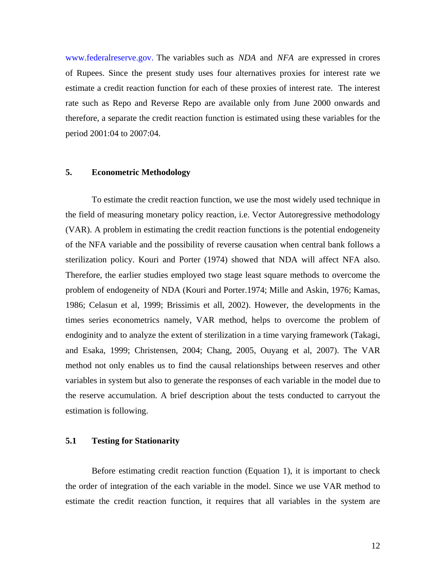www.federalreserve.gov. The variables such as *NDA* and *NFA* are expressed in crores of Rupees. Since the present study uses four alternatives proxies for interest rate we estimate a credit reaction function for each of these proxies of interest rate. The interest rate such as Repo and Reverse Repo are available only from June 2000 onwards and therefore, a separate the credit reaction function is estimated using these variables for the period 2001:04 to 2007:04.

## **5. Econometric Methodology**

To estimate the credit reaction function, we use the most widely used technique in the field of measuring monetary policy reaction, i.e. Vector Autoregressive methodology (VAR). A problem in estimating the credit reaction functions is the potential endogeneity of the NFA variable and the possibility of reverse causation when central bank follows a sterilization policy. Kouri and Porter (1974) showed that NDA will affect NFA also. Therefore, the earlier studies employed two stage least square methods to overcome the problem of endogeneity of NDA (Kouri and Porter.1974; Mille and Askin, 1976; Kamas, 1986; Celasun et al, 1999; Brissimis et all, 2002). However, the developments in the times series econometrics namely, VAR method, helps to overcome the problem of endoginity and to analyze the extent of sterilization in a time varying framework (Takagi, and Esaka, 1999; Christensen, 2004; Chang, 2005, Ouyang et al, 2007). The VAR method not only enables us to find the causal relationships between reserves and other variables in system but also to generate the responses of each variable in the model due to the reserve accumulation. A brief description about the tests conducted to carryout the estimation is following.

## **5.1 Testing for Stationarity**

Before estimating credit reaction function (Equation 1), it is important to check the order of integration of the each variable in the model. Since we use VAR method to estimate the credit reaction function, it requires that all variables in the system are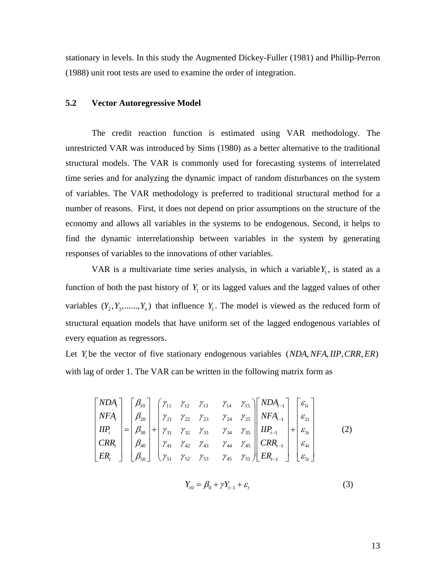stationary in levels. In this study the Augmented Dickey-Fuller (1981) and Phillip-Perron (1988) unit root tests are used to examine the order of integration.

#### **5.2 Vector Autoregressive Model**

The credit reaction function is estimated using VAR methodology. The unrestricted VAR was introduced by Sims (1980) as a better alternative to the traditional structural models. The VAR is commonly used for forecasting systems of interrelated time series and for analyzing the dynamic impact of random disturbances on the system of variables. The VAR methodology is preferred to traditional structural method for a number of reasons. First, it does not depend on prior assumptions on the structure of the economy and allows all variables in the systems to be endogenous. Second, it helps to find the dynamic interrelationship between variables in the system by generating responses of variables to the innovations of other variables.

VAR is a multivariate time series analysis, in which a variable  $Y_1$ , is stated as a function of both the past history of  $Y_1$  or its lagged values and the lagged values of other variables  $(Y_2, Y_3, \ldots, Y_n)$  that influence  $Y_1$ . The model is viewed as the reduced form of structural equation models that have uniform set of the lagged endogenous variables of every equation as regressors.

Let *Y*, be the vector of five stationary endogenous variables (*NDA, NFA, IIP, CRR, ER*) with lag of order 1. The VAR can be written in the following matrix form as

$$
\begin{bmatrix}\nNDA_i \\
NFA_i \\
IIP_i \\
IIP_i \\
ER_i\n\end{bmatrix} =\n\begin{bmatrix}\n\beta_{10} \\
\beta_{20} \\
\beta_{30} \\
\beta_{40} \\
\beta_{50}\n\end{bmatrix} +\n\begin{bmatrix}\n\gamma_{11} & \gamma_{12} & \gamma_{13} & \gamma_{14} & \gamma_{15} \\
\gamma_{21} & \gamma_{22} & \gamma_{23} & \gamma_{24} & \gamma_{25} \\
\gamma_{31} & \gamma_{32} & \gamma_{33} & \gamma_{34} & \gamma_{35} \\
\gamma_{41} & \gamma_{42} & \gamma_{43} & \gamma_{44} & \gamma_{45} \\
\gamma_{51} & \gamma_{52} & \gamma_{53} & \gamma_{45} & \gamma_{55}\n\end{bmatrix}\n\begin{bmatrix}\nNDA_{t-1} \\
NFA_{t-1} \\
IIP_{t-1} \\
IR_{t-1} \\
ER_{t-1}\n\end{bmatrix} +\n\begin{bmatrix}\n\varepsilon_{1t} \\
\varepsilon_{2t} \\
\varepsilon_{3t} \\
\varepsilon_{4t} \\
\varepsilon_{5t}\n\end{bmatrix}
$$
\n(2)

$$
Y_{t0} = \beta_0 + \gamma Y_{t-1} + \varepsilon_t \tag{3}
$$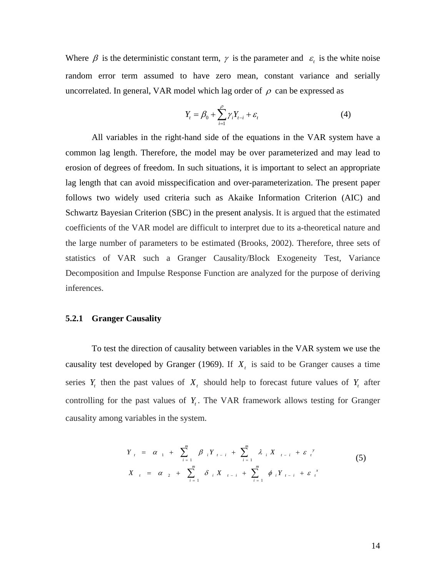Where  $\beta$  is the deterministic constant term,  $\gamma$  is the parameter and  $\varepsilon$  is the white noise random error term assumed to have zero mean, constant variance and serially uncorrelated. In general, VAR model which lag order of  $\rho$  can be expressed as

$$
Y_t = \beta_0 + \sum_{i=1}^{\rho} \gamma_i Y_{t-i} + \varepsilon_t
$$
 (4)

 All variables in the right-hand side of the equations in the VAR system have a common lag length. Therefore, the model may be over parameterized and may lead to erosion of degrees of freedom. In such situations, it is important to select an appropriate lag length that can avoid misspecification and over-parameterization. The present paper follows two widely used criteria such as Akaike Information Criterion (AIC) and Schwartz Bayesian Criterion (SBC) in the present analysis. It is argued that the estimated coefficients of the VAR model are difficult to interpret due to its a-theoretical nature and the large number of parameters to be estimated (Brooks, 2002). Therefore, three sets of statistics of VAR such a Granger Causality/Block Exogeneity Test, Variance Decomposition and Impulse Response Function are analyzed for the purpose of deriving inferences.

## **5.2.1 Granger Causality**

 To test the direction of causality between variables in the VAR system we use the causality test developed by Granger (1969). If  $X_t$  is said to be Granger causes a time series  $Y_t$  then the past values of  $X_t$  should help to forecast future values of  $Y_t$  after controlling for the past values of  $Y<sub>t</sub>$ . The VAR framework allows testing for Granger causality among variables in the system.

$$
Y_{i} = \alpha_{1} + \sum_{i=1}^{m} \beta_{i} Y_{i-i} + \sum_{i=1}^{m} \lambda_{i} X_{i-i} + \varepsilon_{i}^{y}
$$
  
\n
$$
X_{i} = \alpha_{2} + \sum_{i=1}^{m} \delta_{i} X_{i-i} + \sum_{i=1}^{m} \phi_{i} Y_{i-i} + \varepsilon_{i}^{x}
$$
\n(5)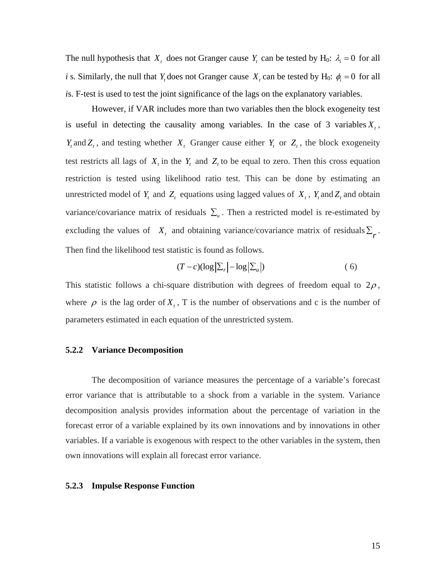The null hypothesis that  $X_t$  does not Granger cause  $Y_t$  can be tested by H<sub>0</sub>:  $\lambda_i = 0$  for all *i* s. Similarly, the null that *Y*<sub>t</sub> does not Granger cause *X*<sub>t</sub> can be tested by H<sub>0</sub>:  $\phi_i = 0$  for all *i*s. F-test is used to test the joint significance of the lags on the explanatory variables.

 However, if VAR includes more than two variables then the block exogeneity test is useful in detecting the causality among variables. In the case of 3 variables  $X_t$ , *Y<sub>t</sub>* and *Z<sub>t</sub>*, and testing whether *X<sub>t</sub>* Granger cause either *Y<sub>t</sub>* or *Z<sub>t</sub>*, the block exogeneity test restricts all lags of  $X_t$  in the  $Y_t$  and  $Z_t$  to be equal to zero. Then this cross equation restriction is tested using likelihood ratio test. This can be done by estimating an unrestricted model of  $Y_t$  and  $Z_t$  equations using lagged values of  $X_t$ ,  $Y_t$  and  $Z_t$  and obtain variance/covariance matrix of residuals  $\Sigma_u$ . Then a restricted model is re-estimated by excluding the values of  $X_t$  and obtaining variance/covariance matrix of residuals  $\sum_{r}$ . Then find the likelihood test statistic is found as follows.

$$
(T - c)(\log |\Sigma_r| - \log |\Sigma_u|) \tag{6}
$$

This statistic follows a chi-square distribution with degrees of freedom equal to  $2\rho$ , where  $\rho$  is the lag order of  $X_t$ , T is the number of observations and c is the number of parameters estimated in each equation of the unrestricted system.

## **5.2.2 Variance Decomposition**

The decomposition of variance measures the percentage of a variable's forecast error variance that is attributable to a shock from a variable in the system. Variance decomposition analysis provides information about the percentage of variation in the forecast error of a variable explained by its own innovations and by innovations in other variables. If a variable is exogenous with respect to the other variables in the system, then own innovations will explain all forecast error variance.

#### **5.2.3 Impulse Response Function**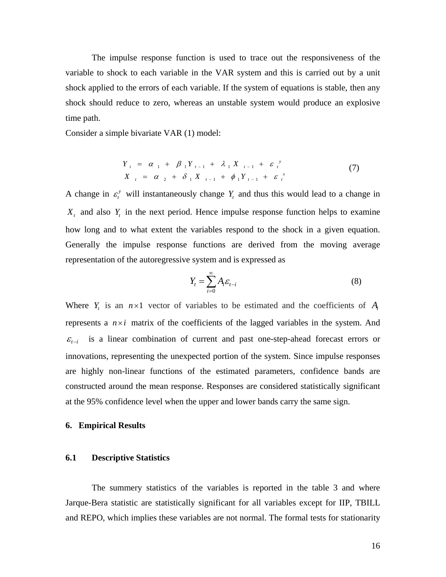The impulse response function is used to trace out the responsiveness of the variable to shock to each variable in the VAR system and this is carried out by a unit shock applied to the errors of each variable. If the system of equations is stable, then any shock should reduce to zero, whereas an unstable system would produce an explosive time path.

Consider a simple bivariate VAR (1) model:

$$
Y_{t} = \alpha_{1} + \beta_{1} Y_{t-1} + \lambda_{1} X_{t-1} + \varepsilon_{t}^{y}
$$
  
\n
$$
X_{t} = \alpha_{2} + \delta_{1} X_{t-1} + \phi_{1} Y_{t-1} + \varepsilon_{t}^{x}
$$
 (7)

A change in  $\varepsilon_t^y$  will instantaneously change  $Y_t$  and thus this would lead to a change in  $X_t$  and also  $Y_t$  in the next period. Hence impulse response function helps to examine how long and to what extent the variables respond to the shock in a given equation. Generally the impulse response functions are derived from the moving average representation of the autoregressive system and is expressed as

$$
Y_t = \sum_{i=0}^{\infty} A_i \varepsilon_{t-i}
$$
 (8)

Where  $Y_t$  is an  $n \times 1$  vector of variables to be estimated and the coefficients of  $A_i$ represents a  $n \times i$  matrix of the coefficients of the lagged variables in the system. And  $\epsilon_{t-i}$  is a linear combination of current and past one-step-ahead forecast errors or innovations, representing the unexpected portion of the system. Since impulse responses are highly non-linear functions of the estimated parameters, confidence bands are constructed around the mean response. Responses are considered statistically significant at the 95% confidence level when the upper and lower bands carry the same sign.

#### **6. Empirical Results**

#### **6.1 Descriptive Statistics**

The summery statistics of the variables is reported in the table 3 and where Jarque-Bera statistic are statistically significant for all variables except for IIP, TBILL and REPO, which implies these variables are not normal. The formal tests for stationarity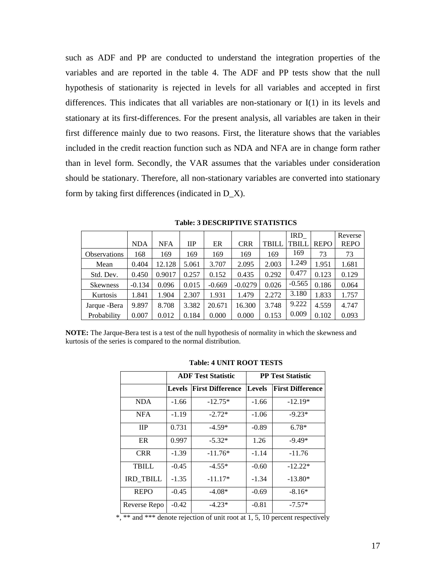such as ADF and PP are conducted to understand the integration properties of the variables and are reported in the table 4. The ADF and PP tests show that the null hypothesis of stationarity is rejected in levels for all variables and accepted in first differences. This indicates that all variables are non-stationary or I(1) in its levels and stationary at its first-differences. For the present analysis, all variables are taken in their first difference mainly due to two reasons. First, the literature shows that the variables included in the credit reaction function such as NDA and NFA are in change form rather than in level form. Secondly, the VAR assumes that the variables under consideration should be stationary. Therefore, all non-stationary variables are converted into stationary form by taking first differences (indicated in D\_X).

|                     | <b>NDA</b> | <b>NFA</b> | $_{\text{HP}}$ | ER       | <b>CRR</b> | TBILL | IRD_<br>TBILI | <b>REPO</b> | Reverse<br><b>REPO</b> |
|---------------------|------------|------------|----------------|----------|------------|-------|---------------|-------------|------------------------|
| <b>Observations</b> | 168        | 169        | 169            | 169      | 169        | 169   | 169           | 73          | 73                     |
| Mean                | 0.404      | 12.128     | 5.061          | 3.707    | 2.095      | 2.003 | 1.249         | 1.951       | 1.681                  |
| Std. Dev.           | 0.450      | 0.9017     | 0.257          | 0.152    | 0.435      | 0.292 | 0.477         | 0.123       | 0.129                  |
| <b>Skewness</b>     | $-0.134$   | 0.096      | 0.015          | $-0.669$ | $-0.0279$  | 0.026 | $-0.565$      | 0.186       | 0.064                  |
| Kurtosis            | 1.841      | 1.904      | 2.307          | 1.931    | 1.479      | 2.272 | 3.180         | 1.833       | 1.757                  |
| Jarque - Bera       | 9.897      | 8.708      | 3.382          | 20.671   | 16.300     | 3.748 | 9.222         | 4.559       | 4.747                  |
| Probability         | 0.007      | 0.012      | 0.184          | 0.000    | 0.000      | 0.153 | 0.009         | 0.102       | 0.093                  |

**Table: 3 DESCRIPTIVE STATISTICS** 

**NOTE:** The Jarque-Bera test is a test of the null hypothesis of normality in which the skewness and kurtosis of the series is compared to the normal distribution.

|                  |               | <b>ADF</b> Test Statistic | <b>PP Test Statistic</b> |                         |  |
|------------------|---------------|---------------------------|--------------------------|-------------------------|--|
|                  | <b>Levels</b> | <b>First Difference</b>   | <b>Levels</b>            | <b>First Difference</b> |  |
| NDA.             | $-1.66$       | $-12.75*$                 | $-1.66$                  | $-12.19*$               |  |
| <b>NFA</b>       | $-1.19$       | $-2.72*$                  | $-1.06$                  | $-9.23*$                |  |
| <b>IIP</b>       | 0.731         | $-4.59*$                  | $-0.89$                  | $6.78*$                 |  |
| ER               | 0.997         | $-5.32*$                  | 1.26                     | $-9.49*$                |  |
| <b>CRR</b>       | $-1.39$       | $-11.76*$                 | $-1.14$                  | $-11.76$                |  |
| TBILL            | $-0.45$       | $-4.55*$                  | $-0.60$                  | $-12.22*$               |  |
| <b>IRD_TBILL</b> | $-1.35$       | $-11.17*$                 | $-1.34$                  | $-13.80*$               |  |
| <b>REPO</b>      | $-0.45$       | $-4.08*$                  | $-0.69$                  | $-8.16*$                |  |
| Reverse Repo     | $-0.42$       | $-4.23*$                  | $-0.81$                  | $-7.57*$                |  |

#### **Table: 4 UNIT ROOT TESTS**

\*, \*\* and \*\*\* denote rejection of unit root at 1, 5, 10 percent respectively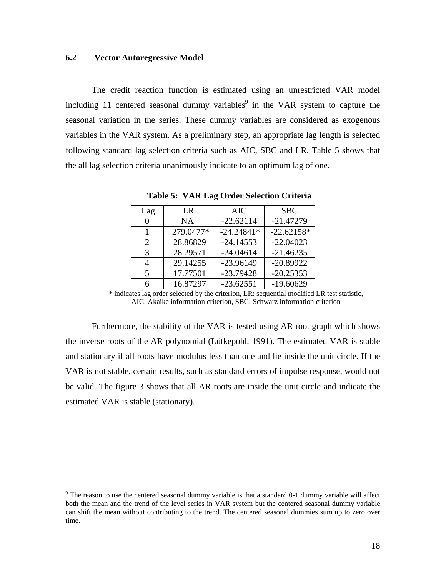## **6.2 Vector Autoregressive Model**

 $\overline{a}$ 

The credit reaction function is estimated using an unrestricted VAR model including 11 centered seasonal dummy variables<sup>9</sup> in the VAR system to capture the seasonal variation in the series. These dummy variables are considered as exogenous variables in the VAR system. As a preliminary step, an appropriate lag length is selected following standard lag selection criteria such as AIC, SBC and LR. Table 5 shows that the all lag selection criteria unanimously indicate to an optimum lag of one.

| Lag               | LR        | <b>AIC</b>   | <b>SBC</b>   |
|-------------------|-----------|--------------|--------------|
| $\mathbf{\Omega}$ | <b>NA</b> | $-22.62114$  | $-21.47279$  |
|                   | 279.0477* | $-24.24841*$ | $-22.62158*$ |
| 2                 | 28.86829  | $-24.14553$  | $-22.04023$  |
| 3                 | 28.29571  | $-24.04614$  | $-21.46235$  |
|                   | 29.14255  | $-23.96149$  | $-20.89922$  |
| 5                 | 17.77501  | $-23.79428$  | $-20.25353$  |
|                   | 16.87297  | $-23.62551$  | $-19.60629$  |

**Table 5: VAR Lag Order Selection Criteria** 

\* indicates lag order selected by the criterion, LR: sequential modified LR test statistic, AIC: Akaike information criterion, SBC: Schwarz information criterion

Furthermore, the stability of the VAR is tested using AR root graph which shows the inverse roots of the AR polynomial (Lütkepohl, 1991). The estimated VAR is stable and stationary if all roots have modulus less than one and lie inside the unit circle. If the VAR is not stable, certain results, such as standard errors of impulse response, would not be valid. The figure 3 shows that all AR roots are inside the unit circle and indicate the estimated VAR is stable (stationary).

 $9$  The reason to use the centered seasonal dummy variable is that a standard 0-1 dummy variable will affect both the mean and the trend of the level series in VAR system but the centered seasonal dummy variable can shift the mean without contributing to the trend. The centered seasonal dummies sum up to zero over time.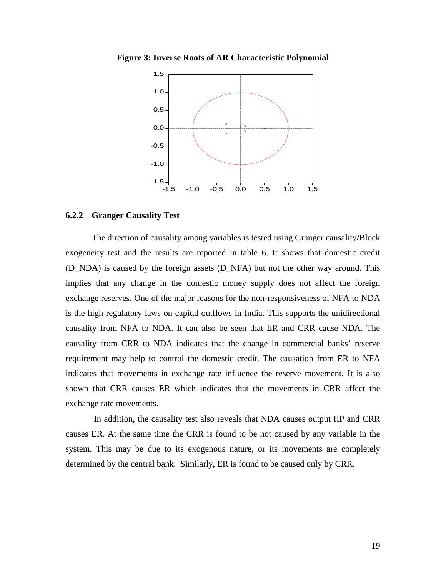**Figure 3: Inverse Roots of AR Characteristic Polynomial** 



## **6.2.2 Granger Causality Test**

The direction of causality among variables is tested using Granger causality/Block exogeneity test and the results are reported in table 6. It shows that domestic credit (D\_NDA) is caused by the foreign assets (D\_NFA) but not the other way around. This implies that any change in the domestic money supply does not affect the foreign exchange reserves. One of the major reasons for the non-responsiveness of NFA to NDA is the high regulatory laws on capital outflows in India. This supports the unidirectional causality from NFA to NDA. It can also be seen that ER and CRR cause NDA. The causality from CRR to NDA indicates that the change in commercial banks' reserve requirement may help to control the domestic credit. The causation from ER to NFA indicates that movements in exchange rate influence the reserve movement. It is also shown that CRR causes ER which indicates that the movements in CRR affect the exchange rate movements.

 In addition, the causality test also reveals that NDA causes output IIP and CRR causes ER. At the same time the CRR is found to be not caused by any variable in the system. This may be due to its exogenous nature, or its movements are completely determined by the central bank. Similarly, ER is found to be caused only by CRR.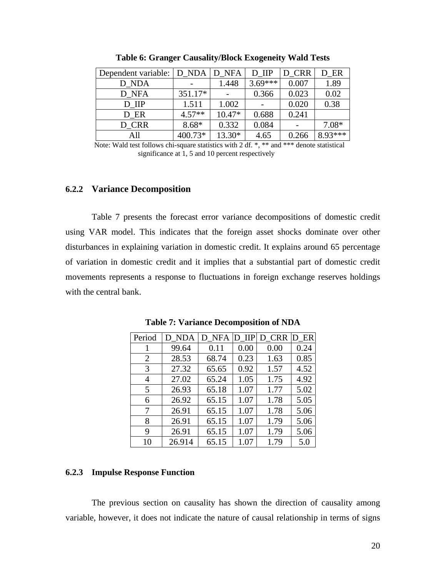| Dependent variable:   D NDA |          | D NFA    | D IIP     | D CRR | D ER      |
|-----------------------------|----------|----------|-----------|-------|-----------|
| D NDA                       |          | 1.448    | $3.69***$ | 0.007 | 1.89      |
| D NFA                       | 351.17*  |          | 0.366     | 0.023 | 0.02      |
| D IIP                       | 1.511    | 1.002    |           | 0.020 | 0.38      |
| D ER                        | $4.57**$ | $10.47*$ | 0.688     | 0.241 |           |
| D CRR                       | $8.68*$  | 0.332    | 0.084     |       | 7.08*     |
| All                         | 400.73*  | 13.30*   | 4.65      | 0.266 | $8.93***$ |

**Table 6: Granger Causality/Block Exogeneity Wald Tests** 

Note: Wald test follows chi-square statistics with 2 df. \*, \*\* and \*\*\* denote statistical significance at 1, 5 and 10 percent respectively

## **6.2.2 Variance Decomposition**

Table 7 presents the forecast error variance decompositions of domestic credit using VAR model. This indicates that the foreign asset shocks dominate over other disturbances in explaining variation in domestic credit. It explains around 65 percentage of variation in domestic credit and it implies that a substantial part of domestic credit movements represents a response to fluctuations in foreign exchange reserves holdings with the central bank.

| Period | D NDA  | D NFA | D IIP | D CRR | D ER |
|--------|--------|-------|-------|-------|------|
|        | 99.64  | 0.11  | 0.00  | 0.00  | 0.24 |
| 2      | 28.53  | 68.74 | 0.23  | 1.63  | 0.85 |
| 3      | 27.32  | 65.65 | 0.92  | 1.57  | 4.52 |
| 4      | 27.02  | 65.24 | 1.05  | 1.75  | 4.92 |
| 5      | 26.93  | 65.18 | 1.07  | 1.77  | 5.02 |
| 6      | 26.92  | 65.15 | 1.07  | 1.78  | 5.05 |
| 7      | 26.91  | 65.15 | 1.07  | 1.78  | 5.06 |
| 8      | 26.91  | 65.15 | 1.07  | 1.79  | 5.06 |
| 9      | 26.91  | 65.15 | 1.07  | 1.79  | 5.06 |
| 10     | 26.914 | 65.15 | 1.07  | 1.79  | 5.0  |

**Table 7: Variance Decomposition of NDA** 

## **6.2.3 Impulse Response Function**

The previous section on causality has shown the direction of causality among variable, however, it does not indicate the nature of causal relationship in terms of signs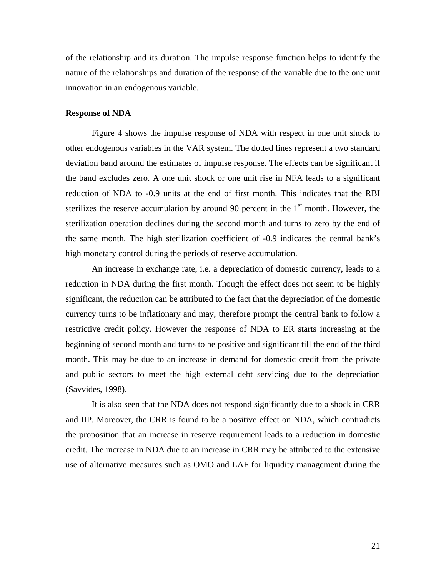of the relationship and its duration. The impulse response function helps to identify the nature of the relationships and duration of the response of the variable due to the one unit innovation in an endogenous variable.

## **Response of NDA**

Figure 4 shows the impulse response of NDA with respect in one unit shock to other endogenous variables in the VAR system. The dotted lines represent a two standard deviation band around the estimates of impulse response. The effects can be significant if the band excludes zero. A one unit shock or one unit rise in NFA leads to a significant reduction of NDA to -0.9 units at the end of first month. This indicates that the RBI sterilizes the reserve accumulation by around 90 percent in the  $1<sup>st</sup>$  month. However, the sterilization operation declines during the second month and turns to zero by the end of the same month. The high sterilization coefficient of -0.9 indicates the central bank's high monetary control during the periods of reserve accumulation.

An increase in exchange rate, i.e. a depreciation of domestic currency, leads to a reduction in NDA during the first month. Though the effect does not seem to be highly significant, the reduction can be attributed to the fact that the depreciation of the domestic currency turns to be inflationary and may, therefore prompt the central bank to follow a restrictive credit policy. However the response of NDA to ER starts increasing at the beginning of second month and turns to be positive and significant till the end of the third month. This may be due to an increase in demand for domestic credit from the private and public sectors to meet the high external debt servicing due to the depreciation (Savvides, 1998).

It is also seen that the NDA does not respond significantly due to a shock in CRR and IIP. Moreover, the CRR is found to be a positive effect on NDA, which contradicts the proposition that an increase in reserve requirement leads to a reduction in domestic credit. The increase in NDA due to an increase in CRR may be attributed to the extensive use of alternative measures such as OMO and LAF for liquidity management during the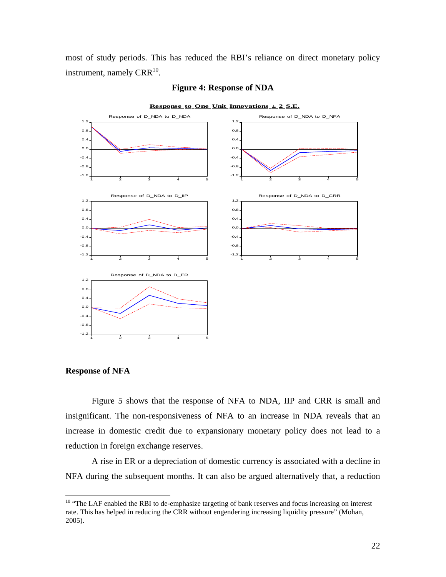most of study periods. This has reduced the RBI's reliance on direct monetary policy instrument, namely  $CRR^{10}$ .



#### **Figure 4: Response of NDA**

**Response of NFA** 

 $\overline{a}$ 

Figure 5 shows that the response of NFA to NDA, IIP and CRR is small and insignificant. The non-responsiveness of NFA to an increase in NDA reveals that an increase in domestic credit due to expansionary monetary policy does not lead to a reduction in foreign exchange reserves.

 A rise in ER or a depreciation of domestic currency is associated with a decline in NFA during the subsequent months. It can also be argued alternatively that, a reduction

<sup>&</sup>lt;sup>10</sup> "The LAF enabled the RBI to de-emphasize targeting of bank reserves and focus increasing on interest rate. This has helped in reducing the CRR without engendering increasing liquidity pressure" (Mohan, 2005).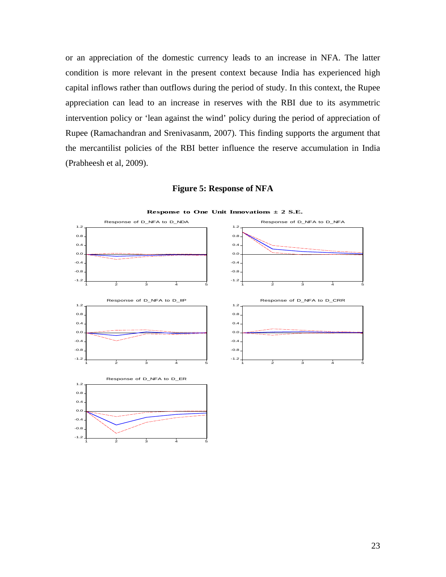or an appreciation of the domestic currency leads to an increase in NFA. The latter condition is more relevant in the present context because India has experienced high capital inflows rather than outflows during the period of study. In this context, the Rupee appreciation can lead to an increase in reserves with the RBI due to its asymmetric intervention policy or 'lean against the wind' policy during the period of appreciation of Rupee (Ramachandran and Srenivasanm, 2007). This finding supports the argument that the mercantilist policies of the RBI better influence the reserve accumulation in India (Prabheesh et al, 2009).



**Figure 5: Response of NFA**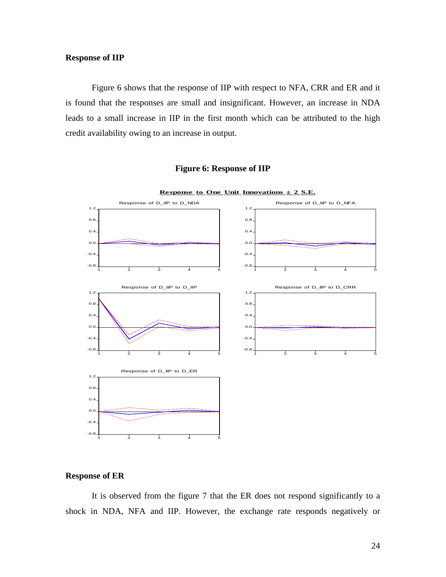## **Response of IIP**

Figure 6 shows that the response of IIP with respect to NFA, CRR and ER and it is found that the responses are small and insignificant. However, an increase in NDA leads to a small increase in IIP in the first month which can be attributed to the high credit availability owing to an increase in output.

## **Figure 6: Response of IIP**



## **Response to One Unit Innovations**  $\pm$  **2 S.E.**

#### **Response of ER**

It is observed from the figure 7 that the ER does not respond significantly to a shock in NDA, NFA and IIP. However, the exchange rate responds negatively or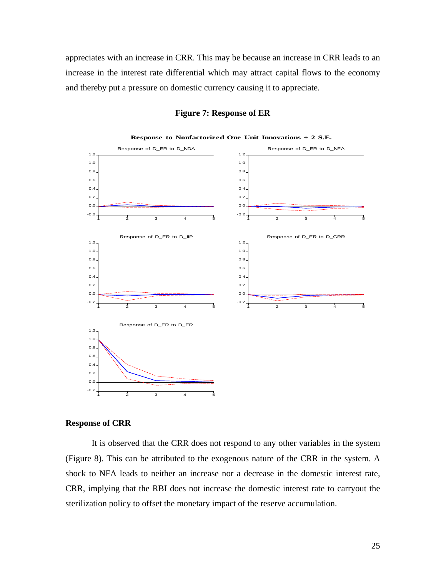appreciates with an increase in CRR. This may be because an increase in CRR leads to an increase in the interest rate differential which may attract capital flows to the economy and thereby put a pressure on domestic currency causing it to appreciate.



## **Figure 7: Response of ER**

#### **Response of CRR**

It is observed that the CRR does not respond to any other variables in the system (Figure 8). This can be attributed to the exogenous nature of the CRR in the system. A shock to NFA leads to neither an increase nor a decrease in the domestic interest rate, CRR, implying that the RBI does not increase the domestic interest rate to carryout the sterilization policy to offset the monetary impact of the reserve accumulation.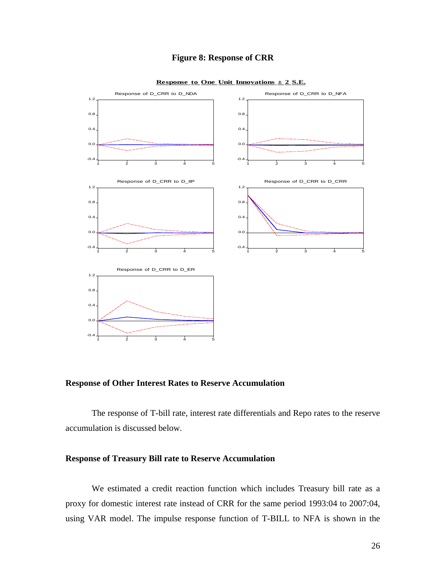## **Figure 8: Response of CRR**



**Response to One Unit Innovations**  $\pm$  **2 S.E.** 

**Response of Other Interest Rates to Reserve Accumulation** 

The response of T-bill rate, interest rate differentials and Repo rates to the reserve accumulation is discussed below.

## **Response of Treasury Bill rate to Reserve Accumulation**

We estimated a credit reaction function which includes Treasury bill rate as a proxy for domestic interest rate instead of CRR for the same period 1993:04 to 2007:04, using VAR model. The impulse response function of T-BILL to NFA is shown in the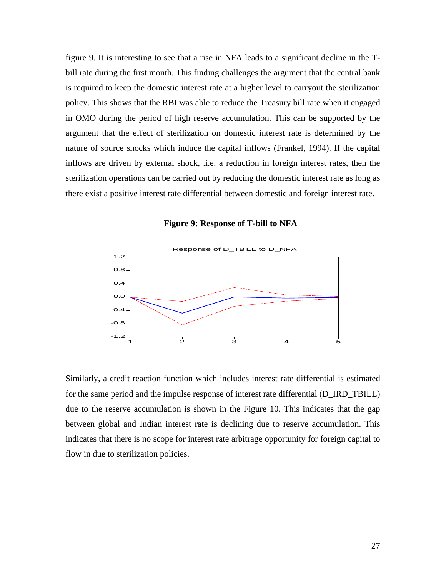figure 9. It is interesting to see that a rise in NFA leads to a significant decline in the Tbill rate during the first month. This finding challenges the argument that the central bank is required to keep the domestic interest rate at a higher level to carryout the sterilization policy. This shows that the RBI was able to reduce the Treasury bill rate when it engaged in OMO during the period of high reserve accumulation. This can be supported by the argument that the effect of sterilization on domestic interest rate is determined by the nature of source shocks which induce the capital inflows (Frankel, 1994). If the capital inflows are driven by external shock, .i.e. a reduction in foreign interest rates, then the sterilization operations can be carried out by reducing the domestic interest rate as long as there exist a positive interest rate differential between domestic and foreign interest rate.





Similarly, a credit reaction function which includes interest rate differential is estimated for the same period and the impulse response of interest rate differential (D\_IRD\_TBILL) due to the reserve accumulation is shown in the Figure 10. This indicates that the gap between global and Indian interest rate is declining due to reserve accumulation. This indicates that there is no scope for interest rate arbitrage opportunity for foreign capital to flow in due to sterilization policies.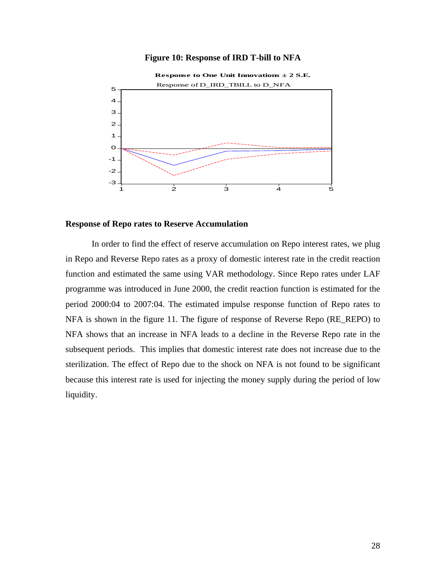## **Figure 10: Response of IRD T-bill to NFA**



## **Response of Repo rates to Reserve Accumulation**

In order to find the effect of reserve accumulation on Repo interest rates, we plug in Repo and Reverse Repo rates as a proxy of domestic interest rate in the credit reaction function and estimated the same using VAR methodology. Since Repo rates under LAF programme was introduced in June 2000, the credit reaction function is estimated for the period 2000:04 to 2007:04. The estimated impulse response function of Repo rates to NFA is shown in the figure 11. The figure of response of Reverse Repo (RE\_REPO) to NFA shows that an increase in NFA leads to a decline in the Reverse Repo rate in the subsequent periods. This implies that domestic interest rate does not increase due to the sterilization. The effect of Repo due to the shock on NFA is not found to be significant because this interest rate is used for injecting the money supply during the period of low liquidity.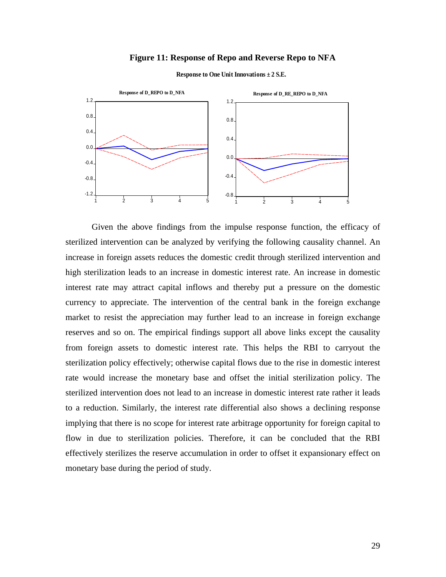#### **Figure 11: Response of Repo and Reverse Repo to NFA**



**Response to One Unit Innovations ± 2 S.E.**

Given the above findings from the impulse response function, the efficacy of sterilized intervention can be analyzed by verifying the following causality channel. An increase in foreign assets reduces the domestic credit through sterilized intervention and high sterilization leads to an increase in domestic interest rate. An increase in domestic interest rate may attract capital inflows and thereby put a pressure on the domestic currency to appreciate. The intervention of the central bank in the foreign exchange market to resist the appreciation may further lead to an increase in foreign exchange reserves and so on. The empirical findings support all above links except the causality from foreign assets to domestic interest rate. This helps the RBI to carryout the sterilization policy effectively; otherwise capital flows due to the rise in domestic interest rate would increase the monetary base and offset the initial sterilization policy. The sterilized intervention does not lead to an increase in domestic interest rate rather it leads to a reduction. Similarly, the interest rate differential also shows a declining response implying that there is no scope for interest rate arbitrage opportunity for foreign capital to flow in due to sterilization policies. Therefore, it can be concluded that the RBI effectively sterilizes the reserve accumulation in order to offset it expansionary effect on monetary base during the period of study.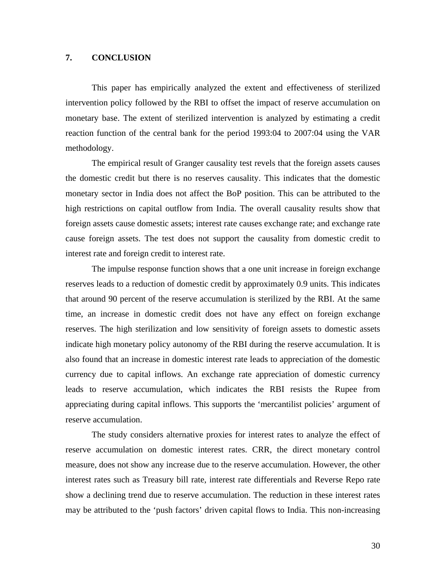## **7. CONCLUSION**

This paper has empirically analyzed the extent and effectiveness of sterilized intervention policy followed by the RBI to offset the impact of reserve accumulation on monetary base. The extent of sterilized intervention is analyzed by estimating a credit reaction function of the central bank for the period 1993:04 to 2007:04 using the VAR methodology.

The empirical result of Granger causality test revels that the foreign assets causes the domestic credit but there is no reserves causality. This indicates that the domestic monetary sector in India does not affect the BoP position. This can be attributed to the high restrictions on capital outflow from India. The overall causality results show that foreign assets cause domestic assets; interest rate causes exchange rate; and exchange rate cause foreign assets. The test does not support the causality from domestic credit to interest rate and foreign credit to interest rate.

The impulse response function shows that a one unit increase in foreign exchange reserves leads to a reduction of domestic credit by approximately 0.9 units. This indicates that around 90 percent of the reserve accumulation is sterilized by the RBI. At the same time, an increase in domestic credit does not have any effect on foreign exchange reserves. The high sterilization and low sensitivity of foreign assets to domestic assets indicate high monetary policy autonomy of the RBI during the reserve accumulation. It is also found that an increase in domestic interest rate leads to appreciation of the domestic currency due to capital inflows. An exchange rate appreciation of domestic currency leads to reserve accumulation, which indicates the RBI resists the Rupee from appreciating during capital inflows. This supports the 'mercantilist policies' argument of reserve accumulation.

The study considers alternative proxies for interest rates to analyze the effect of reserve accumulation on domestic interest rates. CRR, the direct monetary control measure, does not show any increase due to the reserve accumulation. However, the other interest rates such as Treasury bill rate, interest rate differentials and Reverse Repo rate show a declining trend due to reserve accumulation. The reduction in these interest rates may be attributed to the 'push factors' driven capital flows to India. This non-increasing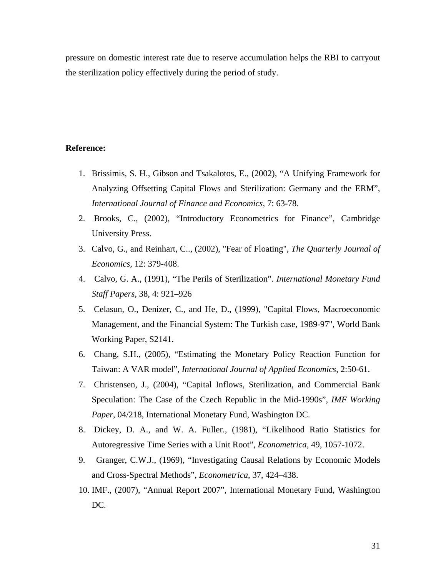pressure on domestic interest rate due to reserve accumulation helps the RBI to carryout the sterilization policy effectively during the period of study.

## **Reference:**

- 1. Brissimis, S. H., Gibson and Tsakalotos, E., (2002), "A Unifying Framework for Analyzing Offsetting Capital Flows and Sterilization: Germany and the ERM", *International Journal of Finance and Economics*, 7: 63-78.
- 2. Brooks, C., (2002), "Introductory Econometrics for Finance", Cambridge University Press.
- 3. Calvo, G., and Reinhart, C.., (2002), "Fear of Floating", *The Quarterly Journal of Economics,* 12: 379-408.
- 4. Calvo, G. A., (1991), "The Perils of Sterilization". *International Monetary Fund Staff Papers,* 38, 4: 921–926
- 5. Celasun, O., Denizer, C., and He, D., (1999), "Capital Flows, Macroeconomic Management, and the Financial System: The Turkish case, 1989-97", World Bank Working Paper, S2141.
- 6. Chang, S.H., (2005), "Estimating the Monetary Policy Reaction Function for Taiwan: A VAR model", *International Journal of Applied Economics*, 2:50-61.
- 7. Christensen, J., (2004), "Capital Inflows, Sterilization, and Commercial Bank Speculation: The Case of the Czech Republic in the Mid-1990s", *IMF Working Paper*, 04/218, International Monetary Fund, Washington DC.
- 8. Dickey, D. A., and W. A. Fuller., (1981), "Likelihood Ratio Statistics for Autoregressive Time Series with a Unit Root", *Econometrica,* 49, 1057-1072.
- 9. Granger, C.W.J., (1969), "Investigating Causal Relations by Economic Models and Cross-Spectral Methods", *Econometrica*, 37, 424–438.
- 10. IMF., (2007), "Annual Report 2007", International Monetary Fund, Washington DC.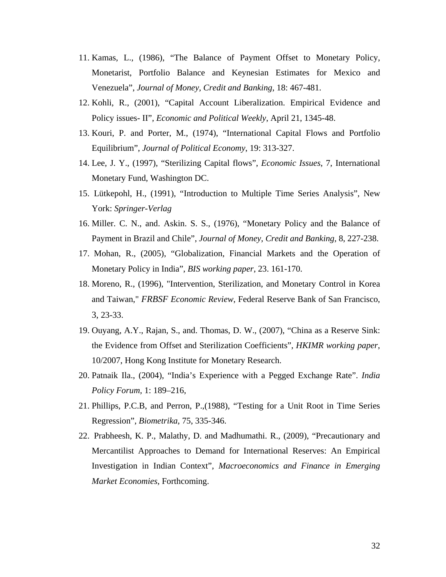- 11. Kamas, L., (1986), "The Balance of Payment Offset to Monetary Policy, Monetarist, Portfolio Balance and Keynesian Estimates for Mexico and Venezuela", *Journal of Money, Credit and Banking*, 18: 467-481.
- 12. Kohli, R., (2001), "Capital Account Liberalization. Empirical Evidence and Policy issues- II", *Economic and Political Weekly*, April 21, 1345-48.
- 13. Kouri, P. and Porter, M., (1974), "International Capital Flows and Portfolio Equilibrium", *Journal of Political Economy*, 19: 313-327.
- 14. Lee, J. Y., (1997), "Sterilizing Capital flows", *Economic Issues*, 7, International Monetary Fund, Washington DC.
- 15. Lütkepohl, H., (1991), "Introduction to Multiple Time Series Analysis", New York: *Springer-Verlag*
- 16. Miller. C. N., and. Askin. S. S., (1976), "Monetary Policy and the Balance of Payment in Brazil and Chile", *Journal of Money, Credit and Banking*, 8, 227-238.
- 17. Mohan, R., (2005), "Globalization, Financial Markets and the Operation of Monetary Policy in India", *BIS working paper*, 23. 161-170.
- 18. Moreno, R., (1996), "Intervention, Sterilization, and Monetary Control in Korea and Taiwan," *FRBSF Economic Review*, Federal Reserve Bank of San Francisco, 3, 23-33.
- 19. Ouyang, A.Y., Rajan, S., and. Thomas, D. W., (2007), "China as a Reserve Sink: the Evidence from Offset and Sterilization Coefficients", *HKIMR working paper*, 10/2007, Hong Kong Institute for Monetary Research.
- 20. Patnaik Ila., (2004), "India's Experience with a Pegged Exchange Rate". *India Policy Forum,* 1: 189–216,
- 21. Phillips, P.C.B, and Perron, P.,(1988), "Testing for a Unit Root in Time Series Regression", *Biometrika*, 75, 335-346.
- 22. Prabheesh, K. P., Malathy, D. and Madhumathi. R., (2009), "Precautionary and Mercantilist Approaches to Demand for International Reserves: An Empirical Investigation in Indian Context", *Macroeconomics and Finance in Emerging Market Economies*, Forthcoming.